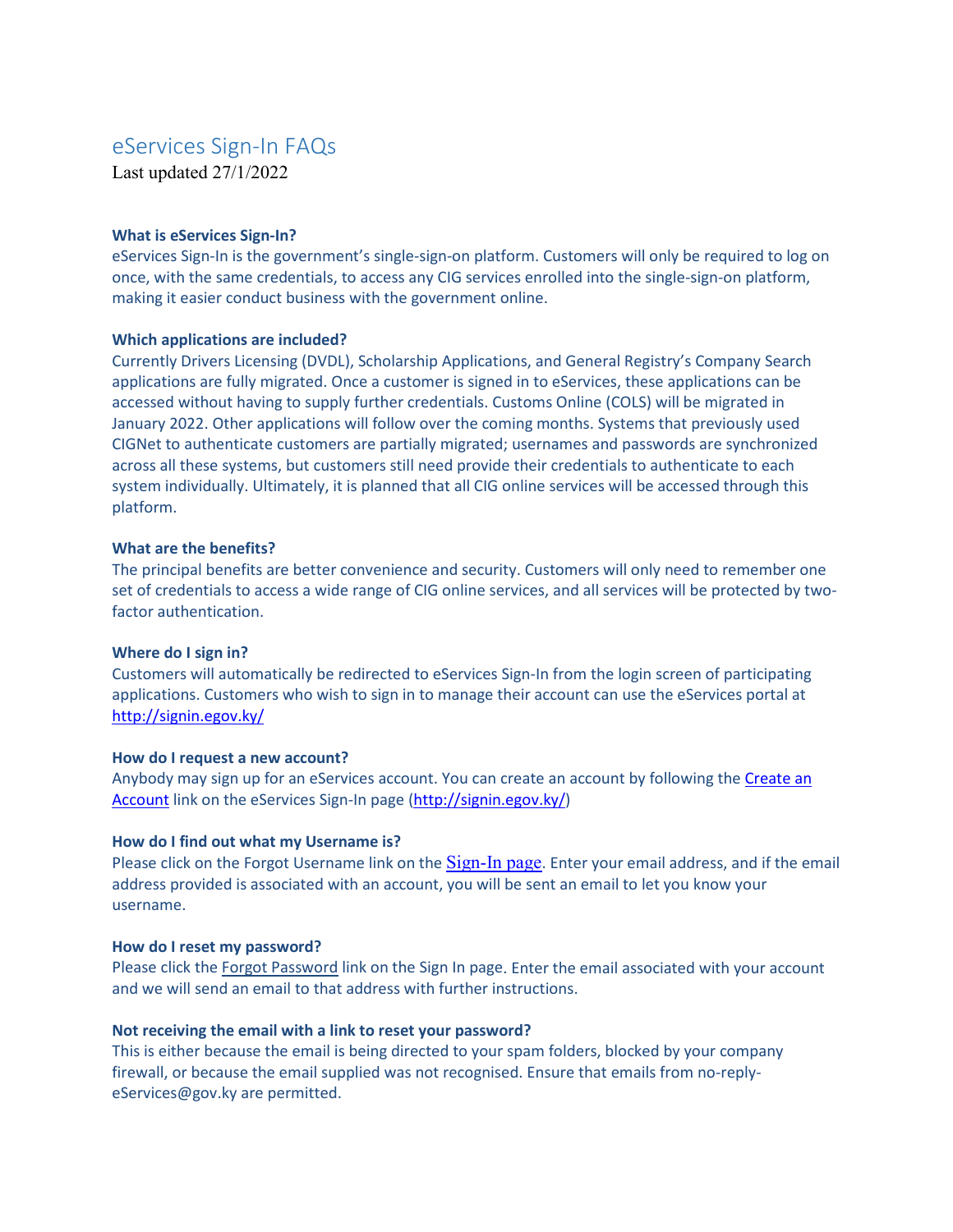# eServices Sign-In FAQs

Last updated 27/1/2022

#### **What is eServices Sign-In?**

eServices Sign-In is the government's single-sign-on platform. Customers will only be required to log on once, with the same credentials, to access any CIG services enrolled into the single-sign-on platform, making it easier conduct business with the government online.

## **Which applications are included?**

Currently Drivers Licensing (DVDL), Scholarship Applications, and General Registry's Company Search applications are fully migrated. Once a customer is signed in to eServices, these applications can be accessed without having to supply further credentials. Customs Online (COLS) will be migrated in January 2022. Other applications will follow over the coming months. Systems that previously used CIGNet to authenticate customers are partially migrated; usernames and passwords are synchronized across all these systems, but customers still need provide their credentials to authenticate to each system individually. Ultimately, it is planned that all CIG online services will be accessed through this platform.

## **What are the benefits?**

The principal benefits are better convenience and security. Customers will only need to remember one set of credentials to access a wide range of CIG online services, and all services will be protected by twofactor authentication.

# **Where do I sign in?**

Customers will automatically be redirected to eServices Sign-In from the login screen of participating applications. Customers who wish to sign in to manage their account can use the eServices portal at <http://signin.egov.ky/>

#### **How do I request a new account?**

Anybody may sign up for an eServices account. You can create an account by following the Create an [Account](mailto:https://am.online.gov.ky/sso/XUI/?realm=/%23/service/PlatformRegistration) link on the eServices Sign-In page [\(http://signin.egov.ky/\)](http://signin.egov.ky/)

#### **How do I find out what my Username is?**

Please click on th[e Forgot Username](https://am.online.gov.ky/sso/XUI/?realm=/#/service/PlatformForgottenUsername) link on the [Sign-In page](http://signin.egov.ky/). Enter your email address, and if the email address provided is associated with an account, you will be sent an email to let you know your username.

#### **How do I reset my password?**

Please click th[e Forgot Password](http://forgot.egov.ky/) link on th[e Sign In page.](https://am.online.gov.ky/sso/XUI/?realm=/#/) Enter the email associated with your account and we will send an email to that address with further instructions.

#### **Not receiving the email with a link to reset your password?**

This is either because the email is being directed to your spam folders, blocked by your company firewall, or because the email supplied was not recognised. Ensure that emails from [no-reply](mailto:no-reply-eServices@gov.ky)[eServices@gov.ky](mailto:no-reply-eServices@gov.ky) are permitted.